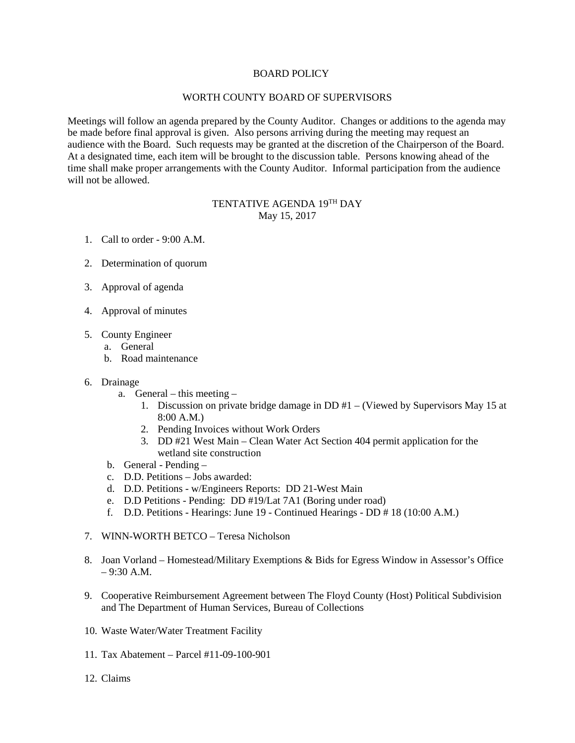## BOARD POLICY

## WORTH COUNTY BOARD OF SUPERVISORS

Meetings will follow an agenda prepared by the County Auditor. Changes or additions to the agenda may be made before final approval is given. Also persons arriving during the meeting may request an audience with the Board. Such requests may be granted at the discretion of the Chairperson of the Board. At a designated time, each item will be brought to the discussion table. Persons knowing ahead of the time shall make proper arrangements with the County Auditor. Informal participation from the audience will not be allowed.

## TENTATIVE AGENDA 19TH DAY May 15, 2017

- 1. Call to order 9:00 A.M.
- 2. Determination of quorum
- 3. Approval of agenda
- 4. Approval of minutes
- 5. County Engineer
	- a. General
	- b. Road maintenance
- 6. Drainage
	- a. General this meeting
		- 1. Discussion on private bridge damage in DD #1 (Viewed by Supervisors May 15 at 8:00 A.M.)
		- 2. Pending Invoices without Work Orders
		- 3. DD #21 West Main Clean Water Act Section 404 permit application for the wetland site construction
	- b. General Pending –
	- c. D.D. Petitions Jobs awarded:
	- d. D.D. Petitions w/Engineers Reports: DD 21-West Main
	- e. D.D Petitions Pending: DD #19/Lat 7A1 (Boring under road)
	- f. D.D. Petitions Hearings: June 19 Continued Hearings DD # 18 (10:00 A.M.)
- 7. WINN-WORTH BETCO Teresa Nicholson
- 8. Joan Vorland Homestead/Military Exemptions & Bids for Egress Window in Assessor's Office – 9:30 A.M.
- 9. Cooperative Reimbursement Agreement between The Floyd County (Host) Political Subdivision and The Department of Human Services, Bureau of Collections
- 10. Waste Water/Water Treatment Facility
- 11. Tax Abatement Parcel #11-09-100-901
- 12. Claims